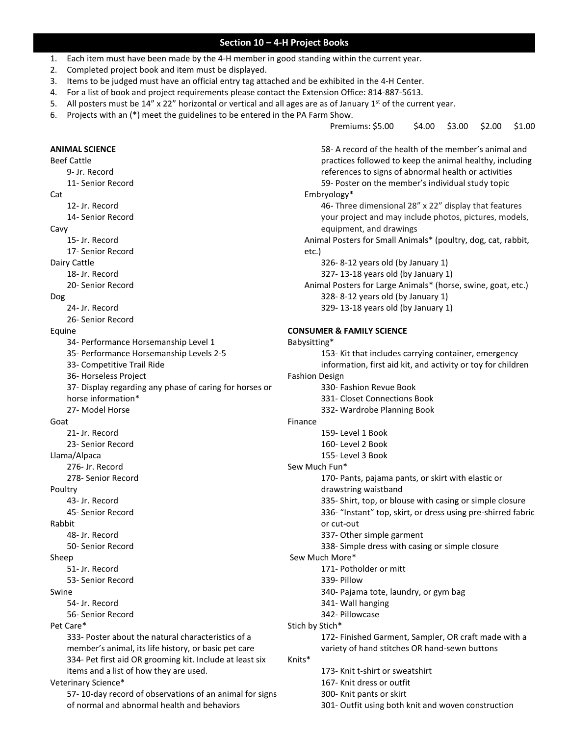#### **Section 10 – 4-H Project Books**

- 1. Each item must have been made by the 4-H member in good standing within the current year.
- 2. Completed project book and item must be displayed.
- 3. Items to be judged must have an official entry tag attached and be exhibited in the 4-H Center.
- 4. For a list of book and project requirements please contact the Extension Office: 814-887-5613.
- 5. All posters must be 14" x 22" horizontal or vertical and all ages are as of January 1st of the current year.
- 6. Projects with an (\*) meet the guidelines to be entered in the PA Farm Show.

Premiums: \$5.00 \$4.00 \$3.00 \$2.00 \$1.00

**ANIMAL SCIENCE** Beef Cattle 9- Jr. Record 11- Senior Record Cat 12- Jr. Record 14- Senior Record Cavy 15- Jr. Record 17- Senior Record Dairy Cattle 18- Jr. Record 20- Senior Record Dog 24- Jr. Record 26- Senior Record Equine 34- Performance Horsemanship Level 1 35- Performance Horsemanship Levels 2-5 33- Competitive Trail Ride 36- Horseless Project 37- Display regarding any phase of caring for horses or horse information\* 27- Model Horse Goat 21- Jr. Record 23- Senior Record Llama/Alpaca 276- Jr. Record 278- Senior Record Poultry 43- Jr. Record 45- Senior Record Rabbit 48- Jr. Record 50- Senior Record Sheep 51- Jr. Record 53- Senior Record Swine 54- Jr. Record 56- Senior Record Pet Care\* 333- Poster about the natural characteristics of a member's animal, its life history, or basic pet care 334- Pet first aid OR grooming kit. Include at least six items and a list of how they are used. Veterinary Science\* 57- 10-day record of observations of an animal for signs 58- A record of the health of the member's animal and practices followed to keep the animal healthy, including references to signs of abnormal health or activities Embryology\* etc.) Babysitting\* Fashion Design Finance Sew Much Fun\* or cut-out Sew Much More\* 339- Pillow Stich by Stich\* Knits\*

of normal and abnormal health and behaviors

59- Poster on the member's individual study topic 46- Three dimensional 28" x 22" display that features your project and may include photos, pictures, models, equipment, and drawings Animal Posters for Small Animals\* (poultry, dog, cat, rabbit, 326- 8-12 years old (by January 1) 327- 13-18 years old (by January 1) Animal Posters for Large Animals\* (horse, swine, goat, etc.) 328- 8-12 years old (by January 1) 329- 13-18 years old (by January 1) **CONSUMER & FAMILY SCIENCE** 153- Kit that includes carrying container, emergency information, first aid kit, and activity or toy for children 330- Fashion Revue Book 331- Closet Connections Book 332- Wardrobe Planning Book 159- Level 1 Book 160- Level 2 Book 155- Level 3 Book 170- Pants, pajama pants, or skirt with elastic or drawstring waistband 335- Shirt, top, or blouse with casing or simple closure 336- "Instant" top, skirt, or dress using pre-shirred fabric 337- Other simple garment 338- Simple dress with casing or simple closure 171- Potholder or mitt 340- Pajama tote, laundry, or gym bag 341- Wall hanging 342- Pillowcase 172- Finished Garment, Sampler, OR craft made with a variety of hand stitches OR hand-sewn buttons 173- Knit t-shirt or sweatshirt 167- Knit dress or outfit

- 300- Knit pants or skirt
	- 301- Outfit using both knit and woven construction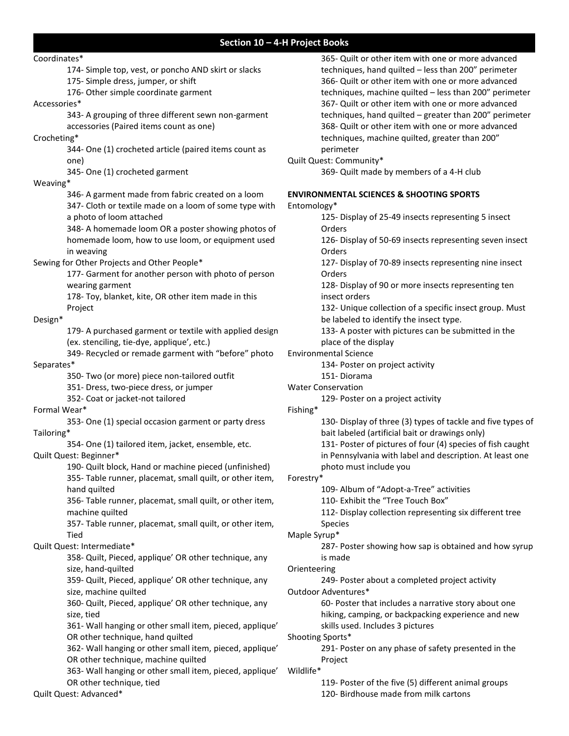### **Section 10 – 4-H Project Books**

Coordinates\* 174- Simple top, vest, or poncho AND skirt or slacks 175- Simple dress, jumper, or shift 176- Other simple coordinate garment Accessories\* 343- A grouping of three different sewn non-garment accessories (Paired items count as one) Crocheting\* 344- One (1) crocheted article (paired items count as one) 345- One (1) crocheted garment Weaving\* 346- A garment made from fabric created on a loom 347- Cloth or textile made on a loom of some type with a photo of loom attached 348- A homemade loom OR a poster showing photos of homemade loom, how to use loom, or equipment used in weaving Sewing for Other Projects and Other People\* 177- Garment for another person with photo of person wearing garment 178- Toy, blanket, kite, OR other item made in this Project Design\* 179- A purchased garment or textile with applied design (ex. stenciling, tie-dye, applique', etc.) 349- Recycled or remade garment with "before" photo Separates\* 350- Two (or more) piece non-tailored outfit 351- Dress, two-piece dress, or jumper 352- Coat or jacket-not tailored Formal Wear\* 353- One (1) special occasion garment or party dress Tailoring\* 354- One (1) tailored item, jacket, ensemble, etc. Quilt Quest: Beginner\* 190- Quilt block, Hand or machine pieced (unfinished) 355- Table runner, placemat, small quilt, or other item, hand quilted 356- Table runner, placemat, small quilt, or other item, machine quilted 357- Table runner, placemat, small quilt, or other item, Tied Quilt Quest: Intermediate\* 358- Quilt, Pieced, applique' OR other technique, any size, hand-quilted 359- Quilt, Pieced, applique' OR other technique, any size, machine quilted 360- Quilt, Pieced, applique' OR other technique, any size, tied 361- Wall hanging or other small item, pieced, applique' OR other technique, hand quilted 362- Wall hanging or other small item, pieced, applique' OR other technique, machine quilted 363- Wall hanging or other small item, pieced, applique' OR other technique, tied Quilt Quest: Advanced\* 365- Quilt or other item with one or more advanced techniques, hand quilted – less than 200" perimeter 366- Quilt or other item with one or more advanced techniques, machine quilted – less than 200" perimeter 367- Quilt or other item with one or more advanced techniques, hand quilted – greater than 200" perimeter 368- Quilt or other item with one or more advanced techniques, machine quilted, greater than 200" perimeter Quilt Quest: Community\* 369- Quilt made by members of a 4-H club **ENVIRONMENTAL SCIENCES & SHOOTING SPORTS** Entomology\* 125- Display of 25-49 insects representing 5 insect Orders 126- Display of 50-69 insects representing seven insect Orders 127- Display of 70-89 insects representing nine insect Orders 128- Display of 90 or more insects representing ten insect orders 132- Unique collection of a specific insect group. Must be labeled to identify the insect type. 133- A poster with pictures can be submitted in the place of the display Environmental Science 134- Poster on project activity 151- Diorama Water Conservation 129- Poster on a project activity Fishing\* 130- Display of three (3) types of tackle and five types of bait labeled (artificial bait or drawings only) 131- Poster of pictures of four (4) species of fish caught in Pennsylvania with label and description. At least one photo must include you Forestry\* 109- Album of "Adopt-a-Tree" activities 110- Exhibit the "Tree Touch Box" 112- Display collection representing six different tree Species Maple Syrup\* 287- Poster showing how sap is obtained and how syrup is made Orienteering 249- Poster about a completed project activity Outdoor Adventures\* 60- Poster that includes a narrative story about one hiking, camping, or backpacking experience and new skills used. Includes 3 pictures Shooting Sports\* 291- Poster on any phase of safety presented in the Project Wildlife\* 119- Poster of the five (5) different animal groups 120- Birdhouse made from milk cartons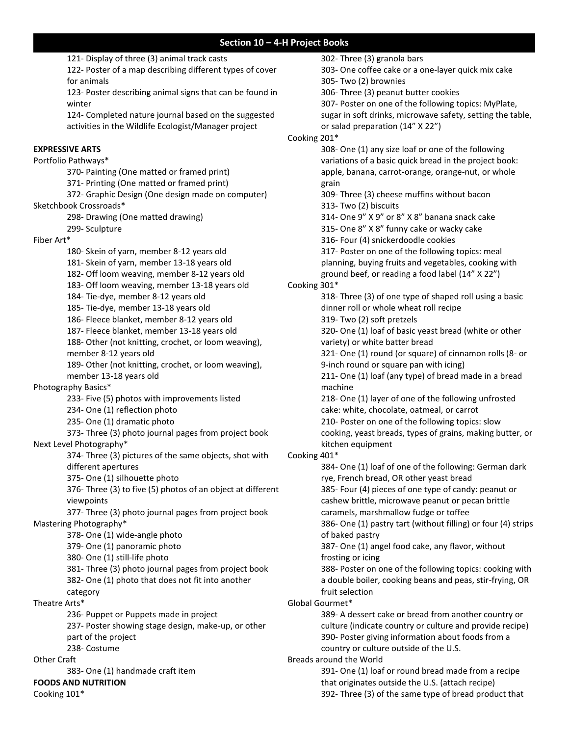121- Display of three (3) animal track casts 122- Poster of a map describing different types of cover for animals 123- Poster describing animal signs that can be found in winter 124- Completed nature journal based on the suggested activities in the Wildlife Ecologist/Manager project **EXPRESSIVE ARTS** Portfolio Pathways\* 370- Painting (One matted or framed print) 371- Printing (One matted or framed print) 372- Graphic Design (One design made on computer) Sketchbook Crossroads\* 298- Drawing (One matted drawing) 299- Sculpture Fiber Art\* 180- Skein of yarn, member 8-12 years old 181- Skein of yarn, member 13-18 years old 182- Off loom weaving, member 8-12 years old 183- Off loom weaving, member 13-18 years old 184- Tie-dye, member 8-12 years old 185- Tie-dye, member 13-18 years old 186- Fleece blanket, member 8-12 years old 187- Fleece blanket, member 13-18 years old 188- Other (not knitting, crochet, or loom weaving), member 8-12 years old 189- Other (not knitting, crochet, or loom weaving), member 13-18 years old Photography Basics\* 233- Five (5) photos with improvements listed 234- One (1) reflection photo 235- One (1) dramatic photo 373- Three (3) photo journal pages from project book Next Level Photography\* 374- Three (3) pictures of the same objects, shot with different apertures 375- One (1) silhouette photo 376- Three (3) to five (5) photos of an object at different viewpoints 377- Three (3) photo journal pages from project book Mastering Photography\* 378- One (1) wide-angle photo 379- One (1) panoramic photo 380- One (1) still-life photo 381- Three (3) photo journal pages from project book 382- One (1) photo that does not fit into another category Theatre Arts\* 236- Puppet or Puppets made in project 237- Poster showing stage design, make-up, or other part of the project 238- Costume Other Craft 383- One (1) handmade craft item **FOODS AND NUTRITION** Cooking 101\* 302- Three (3) granola bars Cooking 201\* grain Cooking 301\* machine kitchen equipment Cooking 401\* of baked pastry frosting or icing fruit selection Global Gourmet\* Breads around the World

303- One coffee cake or a one-layer quick mix cake 305- Two (2) brownies 306- Three (3) peanut butter cookies 307- Poster on one of the following topics: MyPlate, sugar in soft drinks, microwave safety, setting the table, or salad preparation (14" X 22") 308- One (1) any size loaf or one of the following variations of a basic quick bread in the project book: apple, banana, carrot-orange, orange-nut, or whole 309- Three (3) cheese muffins without bacon 313- Two (2) biscuits 314- One 9" X 9" or 8" X 8" banana snack cake 315- One 8" X 8" funny cake or wacky cake 316- Four (4) snickerdoodle cookies 317- Poster on one of the following topics: meal planning, buying fruits and vegetables, cooking with ground beef, or reading a food label (14" X 22") 318- Three (3) of one type of shaped roll using a basic dinner roll or whole wheat roll recipe 319- Two (2) soft pretzels 320- One (1) loaf of basic yeast bread (white or other variety) or white batter bread 321- One (1) round (or square) of cinnamon rolls (8- or 9-inch round or square pan with icing) 211- One (1) loaf (any type) of bread made in a bread 218- One (1) layer of one of the following unfrosted cake: white, chocolate, oatmeal, or carrot 210- Poster on one of the following topics: slow cooking, yeast breads, types of grains, making butter, or 384- One (1) loaf of one of the following: German dark rye, French bread, OR other yeast bread 385- Four (4) pieces of one type of candy: peanut or cashew brittle, microwave peanut or pecan brittle caramels, marshmallow fudge or toffee 386- One (1) pastry tart (without filling) or four (4) strips 387- One (1) angel food cake, any flavor, without 388- Poster on one of the following topics: cooking with a double boiler, cooking beans and peas, stir-frying, OR 389- A dessert cake or bread from another country or culture (indicate country or culture and provide recipe) 390- Poster giving information about foods from a country or culture outside of the U.S. 391- One (1) loaf or round bread made from a recipe that originates outside the U.S. (attach recipe)

392- Three (3) of the same type of bread product that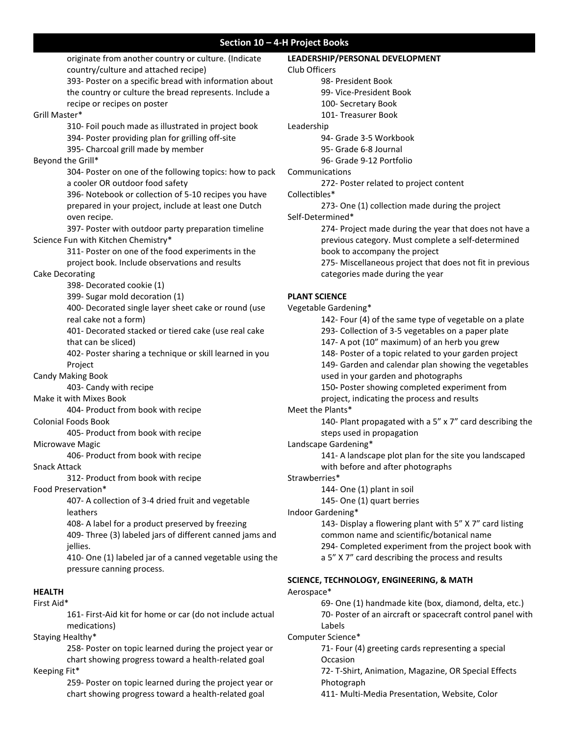originate from another country or culture. (Indicate country/culture and attached recipe) 393- Poster on a specific bread with information about the country or culture the bread represents. Include a recipe or recipes on poster Grill Master\* 310- Foil pouch made as illustrated in project book 394- Poster providing plan for grilling off-site 395- Charcoal grill made by member Beyond the Grill\* 304- Poster on one of the following topics: how to pack a cooler OR outdoor food safety 396- Notebook or collection of 5-10 recipes you have prepared in your project, include at least one Dutch oven recipe. 397- Poster with outdoor party preparation timeline Science Fun with Kitchen Chemistry\* 311- Poster on one of the food experiments in the project book. Include observations and results Cake Decorating 398- Decorated cookie (1) 399- Sugar mold decoration (1) 400- Decorated single layer sheet cake or round (use real cake not a form) 401- Decorated stacked or tiered cake (use real cake that can be sliced) 402- Poster sharing a technique or skill learned in you Project Candy Making Book 403- Candy with recipe Make it with Mixes Book 404- Product from book with recipe Colonial Foods Book 405- Product from book with recipe Microwave Magic 406- Product from book with recipe Snack Attack 312- Product from book with recipe Food Preservation\* 407- A collection of 3-4 dried fruit and vegetable leathers 408- A label for a product preserved by freezing 409- Three (3) labeled jars of different canned jams and jellies. 410- One (1) labeled jar of a canned vegetable using the pressure canning process. **HEALTH** First Aid\* 161- First-Aid kit for home or car (do not include actual medications) Staying Healthy\* 258- Poster on topic learned during the project year or chart showing progress toward a health-related goal Keeping Fit\* **LEADERSHIP/PERSONAL DEVELOPMENT** 

259- Poster on topic learned during the project year or chart showing progress toward a health-related goal

Club Officers 98- President Book 99- Vice-President Book 100- Secretary Book 101- Treasurer Book Leadership 94- Grade 3-5 Workbook 95- Grade 6-8 Journal 96- Grade 9-12 Portfolio Communications 272- Poster related to project content Collectibles\* 273- One (1) collection made during the project Self-Determined\* 274- Project made during the year that does not have a previous category. Must complete a self-determined book to accompany the project 275- Miscellaneous project that does not fit in previous categories made during the year **PLANT SCIENCE** Vegetable Gardening\* 142- Four (4) of the same type of vegetable on a plate 293- Collection of 3-5 vegetables on a paper plate 147- A pot (10" maximum) of an herb you grew 148- Poster of a topic related to your garden project 149- Garden and calendar plan showing the vegetables used in your garden and photographs 150**-** Poster showing completed experiment from project, indicating the process and results Meet the Plants\* 140- Plant propagated with a 5" x 7" card describing the steps used in propagation Landscape Gardening\* 141- A landscape plot plan for the site you landscaped with before and after photographs Strawberries\* 144- One (1) plant in soil 145- One (1) quart berries Indoor Gardening\*

143- Display a flowering plant with 5" X 7" card listing common name and scientific/botanical name 294- Completed experiment from the project book with a 5" X 7" card describing the process and results

# **SCIENCE, TECHNOLOGY, ENGINEERING, & MATH**

Aerospace\*

69- One (1) handmade kite (box, diamond, delta, etc.) 70- Poster of an aircraft or spacecraft control panel with Labels

#### Computer Science\*

71- Four (4) greeting cards representing a special Occasion

72- T-Shirt, Animation, Magazine, OR Special Effects Photograph

411- Multi-Media Presentation, Website, Color